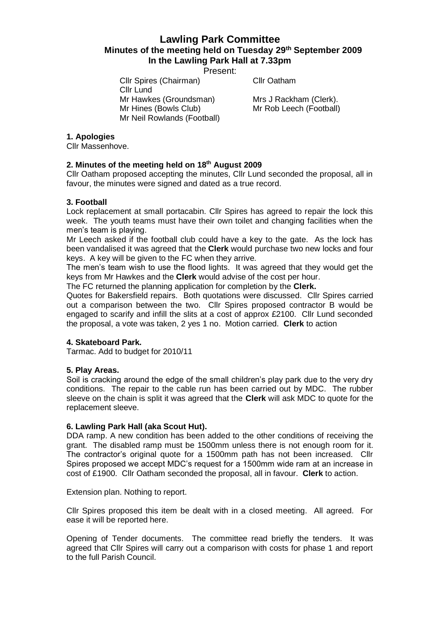# **Lawling Park Committee Minutes of the meeting held on Tuesday 29th September 2009 In the Lawling Park Hall at 7.33pm**

Present:

Cllr Spires (Chairman) Cllr Oatham Cllr Lund Mr Hawkes (Groundsman) Mrs J Rackham (Clerk). Mr Hines (Bowls Club) Mr Rob Leech (Football) Mr Neil Rowlands (Football)

## **1. Apologies**

Cllr Massenhove.

# **2. Minutes of the meeting held on 18th August 2009**

Cllr Oatham proposed accepting the minutes, Cllr Lund seconded the proposal, all in favour, the minutes were signed and dated as a true record.

## **3. Football**

Lock replacement at small portacabin. Cllr Spires has agreed to repair the lock this week. The youth teams must have their own toilet and changing facilities when the men's team is playing.

Mr Leech asked if the football club could have a key to the gate. As the lock has been vandalised it was agreed that the **Clerk** would purchase two new locks and four keys. A key will be given to the FC when they arrive.

The men's team wish to use the flood lights. It was agreed that they would get the keys from Mr Hawkes and the **Clerk** would advise of the cost per hour.

The FC returned the planning application for completion by the **Clerk.**

Quotes for Bakersfield repairs. Both quotations were discussed. Cllr Spires carried out a comparison between the two. Cllr Spires proposed contractor B would be engaged to scarify and infill the slits at a cost of approx £2100. Cllr Lund seconded the proposal, a vote was taken, 2 yes 1 no. Motion carried. **Clerk** to action

# **4. Skateboard Park.**

Tarmac. Add to budget for 2010/11

#### **5. Play Areas.**

Soil is cracking around the edge of the small children's play park due to the very dry conditions. The repair to the cable run has been carried out by MDC. The rubber sleeve on the chain is split it was agreed that the **Clerk** will ask MDC to quote for the replacement sleeve.

#### **6. Lawling Park Hall (aka Scout Hut).**

DDA ramp. A new condition has been added to the other conditions of receiving the grant. The disabled ramp must be 1500mm unless there is not enough room for it. The contractor's original quote for a 1500mm path has not been increased. Cllr Spires proposed we accept MDC's request for a 1500mm wide ram at an increase in cost of £1900. Cllr Oatham seconded the proposal, all in favour. **Clerk** to action.

Extension plan. Nothing to report.

Cllr Spires proposed this item be dealt with in a closed meeting. All agreed. For ease it will be reported here.

Opening of Tender documents. The committee read briefly the tenders. It was agreed that Cllr Spires will carry out a comparison with costs for phase 1 and report to the full Parish Council.